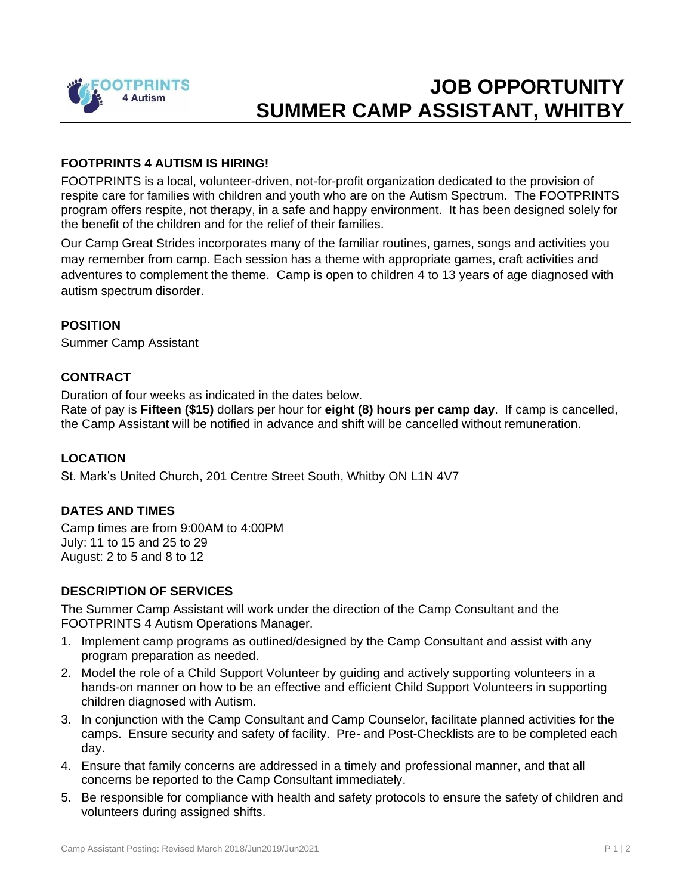

# **JOB OPPORTUNITY SUMMER CAMP ASSISTANT, WHITBY**

## **FOOTPRINTS 4 AUTISM IS HIRING!**

FOOTPRINTS is a local, volunteer-driven, not-for-profit organization dedicated to the provision of respite care for families with children and youth who are on the Autism Spectrum. The FOOTPRINTS program offers respite, not therapy, in a safe and happy environment. It has been designed solely for the benefit of the children and for the relief of their families.

Our Camp Great Strides incorporates many of the familiar routines, games, songs and activities you may remember from camp. Each session has a theme with appropriate games, craft activities and adventures to complement the theme. Camp is open to children 4 to 13 years of age diagnosed with autism spectrum disorder.

#### **POSITION**

Summer Camp Assistant

## **CONTRACT**

Duration of four weeks as indicated in the dates below.

Rate of pay is **Fifteen (\$15)** dollars per hour for **eight (8) hours per camp day**. If camp is cancelled, the Camp Assistant will be notified in advance and shift will be cancelled without remuneration.

#### **LOCATION**

St. Mark's United Church, 201 Centre Street South, Whitby ON L1N 4V7

#### **DATES AND TIMES**

Camp times are from 9:00AM to 4:00PM July: 11 to 15 and 25 to 29 August: 2 to 5 and 8 to 12

#### **DESCRIPTION OF SERVICES**

The Summer Camp Assistant will work under the direction of the Camp Consultant and the FOOTPRINTS 4 Autism Operations Manager.

- 1. Implement camp programs as outlined/designed by the Camp Consultant and assist with any program preparation as needed.
- 2. Model the role of a Child Support Volunteer by guiding and actively supporting volunteers in a hands-on manner on how to be an effective and efficient Child Support Volunteers in supporting children diagnosed with Autism.
- 3. In conjunction with the Camp Consultant and Camp Counselor, facilitate planned activities for the camps. Ensure security and safety of facility. Pre- and Post-Checklists are to be completed each day.
- 4. Ensure that family concerns are addressed in a timely and professional manner, and that all concerns be reported to the Camp Consultant immediately.
- 5. Be responsible for compliance with health and safety protocols to ensure the safety of children and volunteers during assigned shifts.